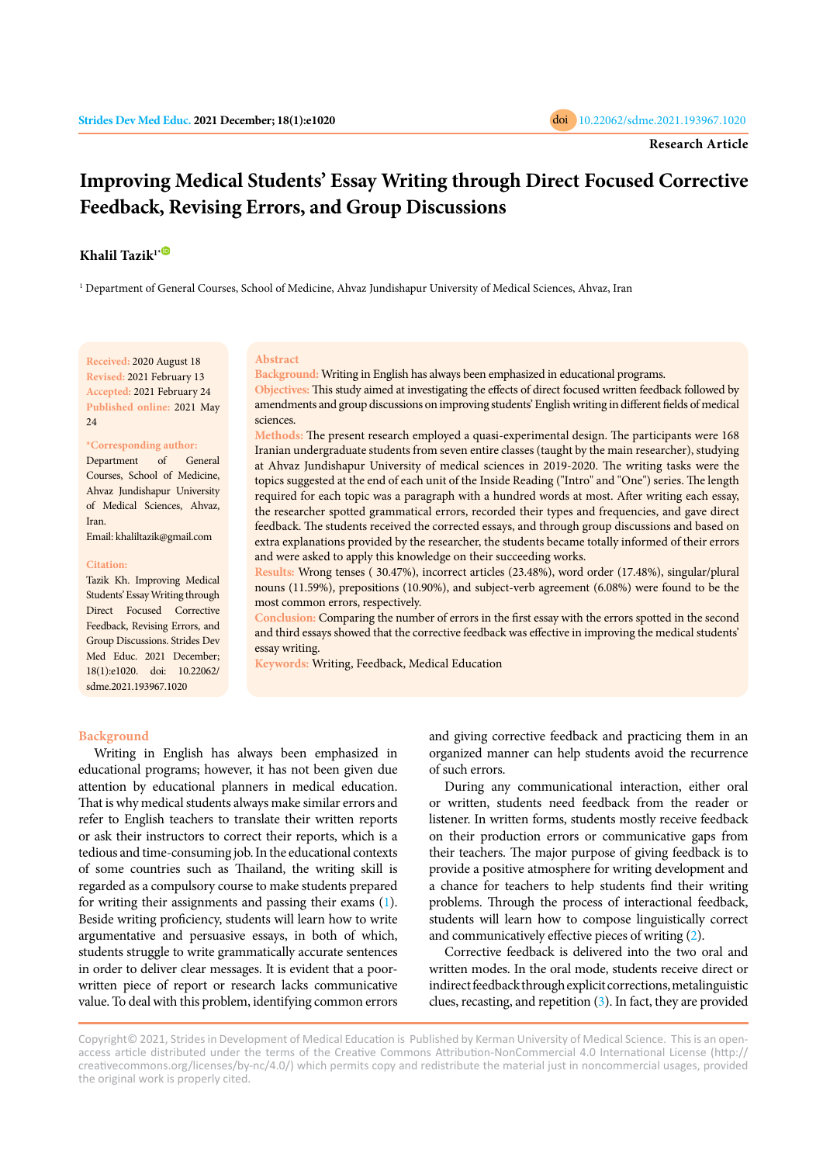# **Improving Medical Students' Essay Writing through Direct Focused Corrective Feedback, Revising Errors, and Group Discussions**

# **Khalil Tazik1[\\*](https://orcid.org/0000-0002-0168-3400)**

1 Department of General Courses, School of Medicine, Ahvaz Jundishapur University of Medical Sciences, Ahvaz, Iran

**Received:** 2020 August 18 **Revised:** 2021 February 13 **Accepted:** 2021 February 24 **Published online:** 2021 May 24

#### **\*Corresponding author:**

Department of General Courses, School of Medicine, Ahvaz Jundishapur University of Medical Sciences, Ahvaz, Iran.

Email: khaliltazik@gmail.com

#### **Citation:**

Tazik Kh. Improving Medical Students' Essay Writing through Direct Focused Corrective Feedback, Revising Errors, and Group Discussions. Strides Dev Med Educ. 2021 December; 18(1):e1020. doi: 10.22062/ sdme.2021.193967.1020

#### **Abstract**

**Background:** Writing in English has always been emphasized in educational programs.

**Objectives:** This study aimed at investigating the effects of direct focused written feedback followed by amendments and group discussions on improving students' English writing in different fields of medical sciences.

**Methods:** The present research employed a quasi-experimental design. The participants were 168 Iranian undergraduate students from seven entire classes (taught by the main researcher), studying at Ahvaz Jundishapur University of medical sciences in 2019-2020. The writing tasks were the topics suggested at the end of each unit of the Inside Reading ("Intro" and "One") series. The length required for each topic was a paragraph with a hundred words at most. After writing each essay, the researcher spotted grammatical errors, recorded their types and frequencies, and gave direct feedback. The students received the corrected essays, and through group discussions and based on extra explanations provided by the researcher, the students became totally informed of their errors and were asked to apply this knowledge on their succeeding works.

**Results:** Wrong tenses ( 30.47%), incorrect articles (23.48%), word order (17.48%), singular/plural nouns (11.59%), prepositions (10.90%), and subject-verb agreement (6.08%) were found to be the most common errors, respectively.

**Conclusion:** Comparing the number of errors in the first essay with the errors spotted in the second and third essays showed that the corrective feedback was effective in improving the medical students' essay writing.

**Keywords:** Writing, Feedback, Medical Education

### **Background**

Writing in English has always been emphasized in educational programs; however, it has not been given due attention by educational planners in medical education. That is why medical students always make similar errors and refer to English teachers to translate their written reports or ask their instructors to correct their reports, which is a tedious and time-consuming job. In the educational contexts of some countries such as Thailand, the writing skill is regarded as a compulsory course to make students prepared for writing their assignments and passing their exams [\(1](#page-5-0)). Beside writing proficiency, students will learn how to write argumentative and persuasive essays, in both of which, students struggle to write grammatically accurate sentences in order to deliver clear messages. It is evident that a poorwritten piece of report or research lacks communicative value. To deal with this problem, identifying common errors

and giving corrective feedback and practicing them in an organized manner can help students avoid the recurrence of such errors.

During any communicational interaction, either oral or written, students need feedback from the reader or listener. In written forms, students mostly receive feedback on their production errors or communicative gaps from their teachers. The major purpose of giving feedback is to provide a positive atmosphere for writing development and a chance for teachers to help students find their writing problems. Through the process of interactional feedback, students will learn how to compose linguistically correct and communicatively effective pieces of writing ([2](#page-5-0)).

Corrective feedback is delivered into the two oral and written modes. In the oral mode, students receive direct or indirect feedback through explicit corrections, metalinguistic clues, recasting, and repetition ([3\)](#page-5-0). In fact, they are provided

Copyright© 2021, Strides in Development of Medical Education is Published by Kerman University of Medical Science. This is an openaccess article distributed under the terms of the Creative Commons Attribution-NonCommercial 4.0 International License (http:// creativecommons.org/licenses/by-nc/4.0/) which permits copy and redistribute the material just in noncommercial usages, provided the original work is properly cited.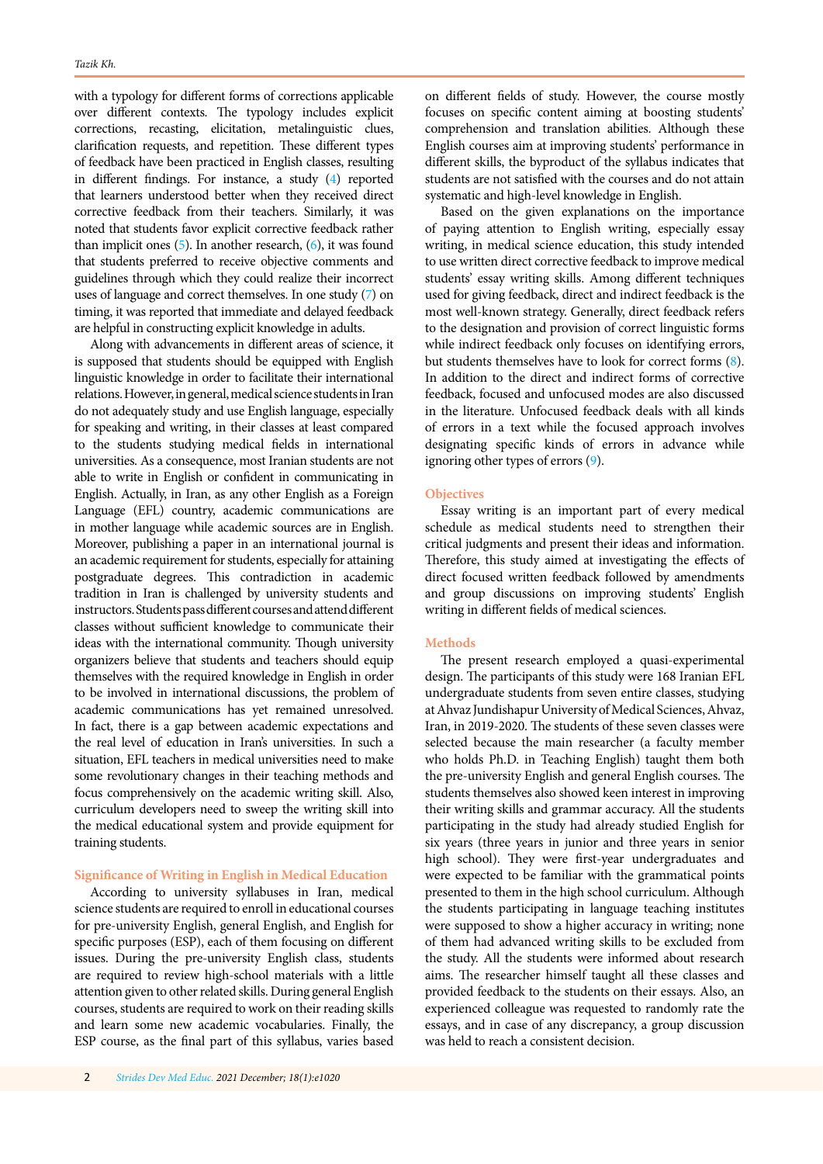with a typology for different forms of corrections applicable over different contexts. The typology includes explicit corrections, recasting, elicitation, metalinguistic clues, clarification requests, and repetition. These different types of feedback have been practiced in English classes, resulting in different findings. For instance, a study ([4](#page-5-0)) reported that learners understood better when they received direct corrective feedback from their teachers. Similarly, it was noted that students favor explicit corrective feedback rather than implicit ones [\(5\)](#page-5-0). In another research, ([6](#page-5-0)), it was found that students preferred to receive objective comments and guidelines through which they could realize their incorrect uses of language and correct themselves. In one study [\(7\)](#page-5-0) on timing, it was reported that immediate and delayed feedback are helpful in constructing explicit knowledge in adults.

Along with advancements in different areas of science, it is supposed that students should be equipped with English linguistic knowledge in order to facilitate their international relations. However, in general, medical science students in Iran do not adequately study and use English language, especially for speaking and writing, in their classes at least compared to the students studying medical fields in international universities. As a consequence, most Iranian students are not able to write in English or confident in communicating in English. Actually, in Iran, as any other English as a Foreign Language (EFL) country, academic communications are in mother language while academic sources are in English. Moreover, publishing a paper in an international journal is an academic requirement for students, especially for attaining postgraduate degrees. This contradiction in academic tradition in Iran is challenged by university students and instructors. Students pass different courses and attend different classes without sufficient knowledge to communicate their ideas with the international community. Though university organizers believe that students and teachers should equip themselves with the required knowledge in English in order to be involved in international discussions, the problem of academic communications has yet remained unresolved. In fact, there is a gap between academic expectations and the real level of education in Iran's universities. In such a situation, EFL teachers in medical universities need to make some revolutionary changes in their teaching methods and focus comprehensively on the academic writing skill. Also, curriculum developers need to sweep the writing skill into the medical educational system and provide equipment for training students.

# **Significance of Writing in English in Medical Education**

According to university syllabuses in Iran, medical science students are required to enroll in educational courses for pre-university English, general English, and English for specific purposes (ESP), each of them focusing on different issues. During the pre-university English class, students are required to review high-school materials with a little attention given to other related skills. During general English courses, students are required to work on their reading skills and learn some new academic vocabularies. Finally, the ESP course, as the final part of this syllabus, varies based on different fields of study. However, the course mostly focuses on specific content aiming at boosting students' comprehension and translation abilities. Although these English courses aim at improving students' performance in different skills, the byproduct of the syllabus indicates that students are not satisfied with the courses and do not attain systematic and high-level knowledge in English.

Based on the given explanations on the importance of paying attention to English writing, especially essay writing, in medical science education, this study intended to use written direct corrective feedback to improve medical students' essay writing skills. Among different techniques used for giving feedback, direct and indirect feedback is the most well-known strategy. Generally, direct feedback refers to the designation and provision of correct linguistic forms while indirect feedback only focuses on identifying errors, but students themselves have to look for correct forms [\(8\)](#page-5-0). In addition to the direct and indirect forms of corrective feedback, focused and unfocused modes are also discussed in the literature. Unfocused feedback deals with all kinds of errors in a text while the focused approach involves designating specific kinds of errors in advance while ignoring other types of errors [\(9\)](#page-5-0).

# **Objectives**

Essay writing is an important part of every medical schedule as medical students need to strengthen their critical judgments and present their ideas and information. Therefore, this study aimed at investigating the effects of direct focused written feedback followed by amendments and group discussions on improving students' English writing in different fields of medical sciences.

# **Methods**

The present research employed a quasi-experimental design. The participants of this study were 168 Iranian EFL undergraduate students from seven entire classes, studying at Ahvaz Jundishapur University of Medical Sciences, Ahvaz, Iran, in 2019-2020. The students of these seven classes were selected because the main researcher (a faculty member who holds Ph.D. in Teaching English) taught them both the pre-university English and general English courses. The students themselves also showed keen interest in improving their writing skills and grammar accuracy. All the students participating in the study had already studied English for six years (three years in junior and three years in senior high school). They were first-year undergraduates and were expected to be familiar with the grammatical points presented to them in the high school curriculum. Although the students participating in language teaching institutes were supposed to show a higher accuracy in writing; none of them had advanced writing skills to be excluded from the study. All the students were informed about research aims. The researcher himself taught all these classes and provided feedback to the students on their essays. Also, an experienced colleague was requested to randomly rate the essays, and in case of any discrepancy, a group discussion was held to reach a consistent decision.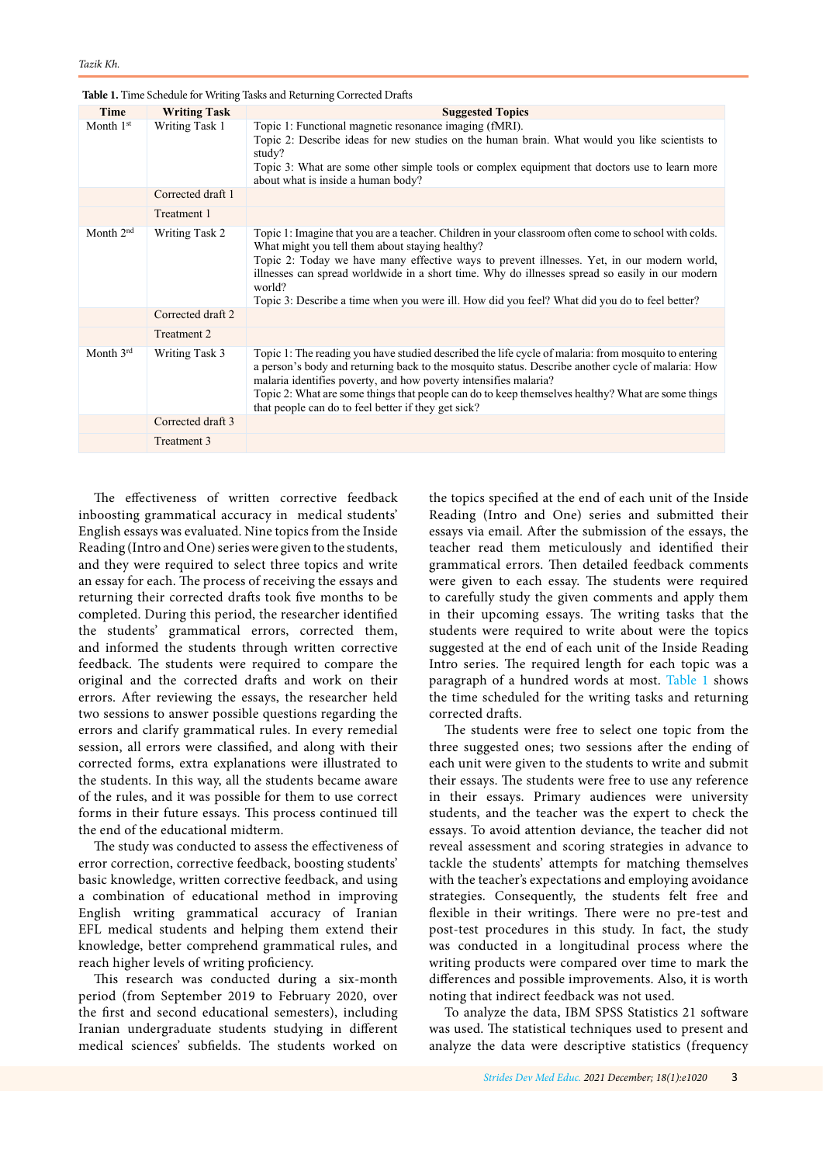| Time        | <b>Writing Task</b> | <b>Suggested Topics</b>                                                                                                                                                                                                                                                                                                                                                                                                                                             |
|-------------|---------------------|---------------------------------------------------------------------------------------------------------------------------------------------------------------------------------------------------------------------------------------------------------------------------------------------------------------------------------------------------------------------------------------------------------------------------------------------------------------------|
| Month $1st$ | Writing Task 1      | Topic 1: Functional magnetic resonance imaging (fMRI).<br>Topic 2: Describe ideas for new studies on the human brain. What would you like scientists to<br>study?<br>Topic 3: What are some other simple tools or complex equipment that doctors use to learn more<br>about what is inside a human body?                                                                                                                                                            |
|             | Corrected draft 1   |                                                                                                                                                                                                                                                                                                                                                                                                                                                                     |
|             | Treatment 1         |                                                                                                                                                                                                                                                                                                                                                                                                                                                                     |
| Month $2nd$ | Writing Task 2      | Topic 1: Imagine that you are a teacher. Children in your classroom often come to school with colds.<br>What might you tell them about staying healthy?<br>Topic 2: Today we have many effective ways to prevent illnesses. Yet, in our modern world,<br>illnesses can spread worldwide in a short time. Why do illnesses spread so easily in our modern<br>world?<br>Topic 3: Describe a time when you were ill. How did you feel? What did you do to feel better? |
|             | Corrected draft 2   |                                                                                                                                                                                                                                                                                                                                                                                                                                                                     |
|             | Treatment 2         |                                                                                                                                                                                                                                                                                                                                                                                                                                                                     |
| Month $3rd$ | Writing Task 3      | Topic 1: The reading you have studied described the life cycle of malaria: from mosquito to entering<br>a person's body and returning back to the mosquito status. Describe another cycle of malaria: How<br>malaria identifies poverty, and how poverty intensifies malaria?<br>Topic 2: What are some things that people can do to keep themselves healthy? What are some things<br>that people can do to feel better if they get sick?                           |
|             | Corrected draft 3   |                                                                                                                                                                                                                                                                                                                                                                                                                                                                     |
|             | Treatment 3         |                                                                                                                                                                                                                                                                                                                                                                                                                                                                     |

**Table 1.** Time Schedule for Writing Tasks and Returning Corrected Drafts

The effectiveness of written corrective feedback inboosting grammatical accuracy in medical students' English essays was evaluated. Nine topics from the Inside Reading (Intro and One) series were given to the students, and they were required to select three topics and write an essay for each. The process of receiving the essays and returning their corrected drafts took five months to be completed. During this period, the researcher identified the students' grammatical errors, corrected them, and informed the students through written corrective feedback. The students were required to compare the original and the corrected drafts and work on their errors. After reviewing the essays, the researcher held two sessions to answer possible questions regarding the errors and clarify grammatical rules. In every remedial session, all errors were classified, and along with their corrected forms, extra explanations were illustrated to the students. In this way, all the students became aware of the rules, and it was possible for them to use correct forms in their future essays. This process continued till the end of the educational midterm.

The study was conducted to assess the effectiveness of error correction, corrective feedback, boosting students' basic knowledge, written corrective feedback, and using a combination of educational method in improving English writing grammatical accuracy of Iranian EFL medical students and helping them extend their knowledge, better comprehend grammatical rules, and reach higher levels of writing proficiency.

This research was conducted during a six-month period (from September 2019 to February 2020, over the first and second educational semesters), including Iranian undergraduate students studying in different medical sciences' subfields. The students worked on

the topics specified at the end of each unit of the Inside Reading (Intro and One) series and submitted their essays via email. After the submission of the essays, the teacher read them meticulously and identified their grammatical errors. Then detailed feedback comments were given to each essay. The students were required to carefully study the given comments and apply them in their upcoming essays. The writing tasks that the students were required to write about were the topics suggested at the end of each unit of the Inside Reading Intro series. The required length for each topic was a paragraph of a hundred words at most. Table 1 shows the time scheduled for the writing tasks and returning corrected drafts.

The students were free to select one topic from the three suggested ones; two sessions after the ending of each unit were given to the students to write and submit their essays. The students were free to use any reference in their essays. Primary audiences were university students, and the teacher was the expert to check the essays. To avoid attention deviance, the teacher did not reveal assessment and scoring strategies in advance to tackle the students' attempts for matching themselves with the teacher's expectations and employing avoidance strategies. Consequently, the students felt free and flexible in their writings. There were no pre-test and post-test procedures in this study. In fact, the study was conducted in a longitudinal process where the writing products were compared over time to mark the differences and possible improvements. Also, it is worth noting that indirect feedback was not used.

To analyze the data, IBM SPSS Statistics 21 software was used. The statistical techniques used to present and analyze the data were descriptive statistics (frequency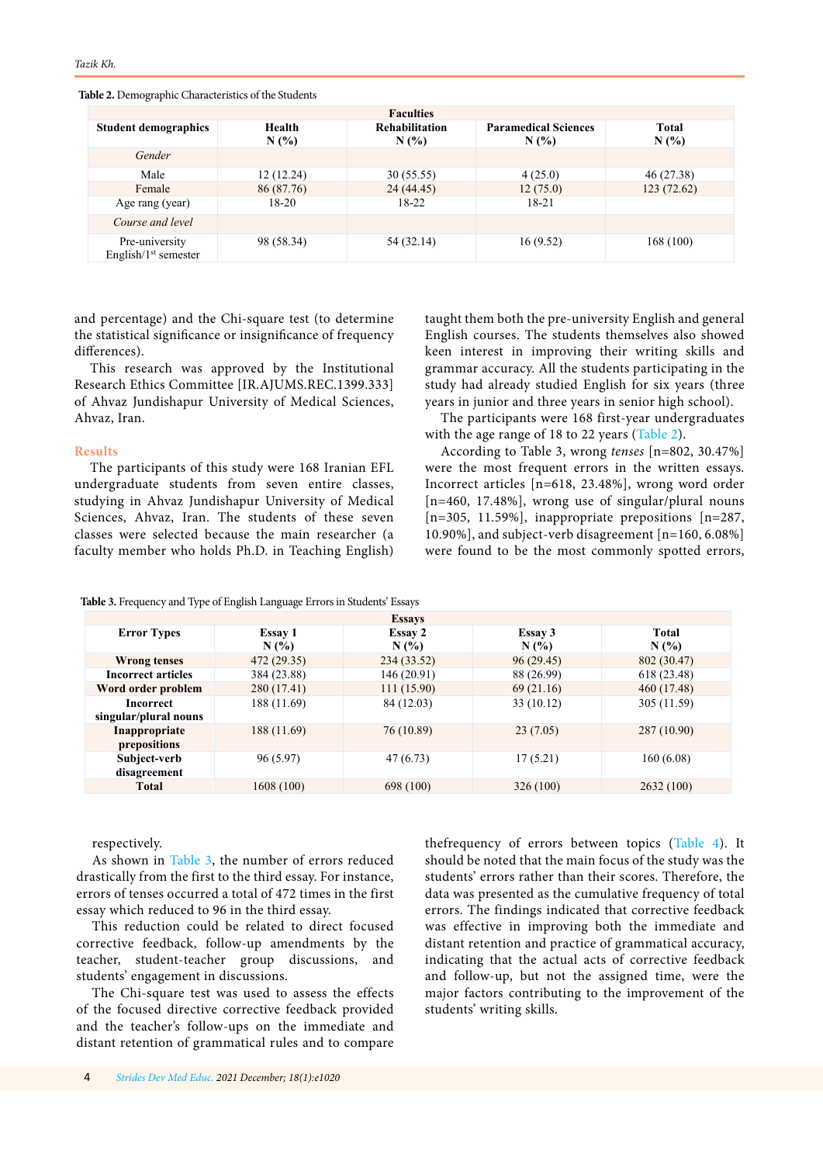**Table 2.** Demographic Characteristics of the Students

| <b>Faculties</b>                          |                                                |            |                                     |               |  |  |  |
|-------------------------------------------|------------------------------------------------|------------|-------------------------------------|---------------|--|--|--|
| <b>Student demographics</b>               | <b>Rehabilitation</b><br>Health<br>N(%)<br>N(% |            | <b>Paramedical Sciences</b><br>N(%) | Total<br>N(%) |  |  |  |
| Gender                                    |                                                |            |                                     |               |  |  |  |
| Male                                      | 12(12.24)                                      | 30(55.55)  | 4(25.0)                             | 46 (27.38)    |  |  |  |
| Female                                    | 86 (87.76)                                     | 24 (44.45) | 12(75.0)                            | 123(72.62)    |  |  |  |
| Age rang (year)                           | 18-20                                          | $18-22$    | $18 - 21$                           |               |  |  |  |
| Course and level                          |                                                |            |                                     |               |  |  |  |
| Pre-university<br>English $/1st$ semester | 98 (58.34)                                     | 54 (32.14) | 16(9.52)                            | 168 (100)     |  |  |  |

and percentage) and the Chi-square test (to determine the statistical significance or insignificance of frequency differences).

This research was approved by the Institutional Research Ethics Committee [IR.AJUMS.REC.1399.333] of Ahvaz Jundishapur University of Medical Sciences, Ahvaz, Iran.

### **Results**

The participants of this study were 168 Iranian EFL undergraduate students from seven entire classes, studying in Ahvaz Jundishapur University of Medical Sciences, Ahvaz, Iran. The students of these seven classes were selected because the main researcher (a faculty member who holds Ph.D. in Teaching English)

taught them both the pre-university English and general English courses. The students themselves also showed keen interest in improving their writing skills and grammar accuracy. All the students participating in the study had already studied English for six years (three years in junior and three years in senior high school).

The participants were 168 first-year undergraduates with the age range of 18 to 22 years (Table 2).

According to Table 3, wrong *tenses* [n=802, 30.47%] were the most frequent errors in the written essays. Incorrect articles [n=618, 23.48%], wrong word order [n=460, 17.48%], wrong use of singular/plural nouns [n=305, 11.59%], inappropriate prepositions [n=287, 10.90%], and subject-verb disagreement [n=160, 6.08%] were found to be the most commonly spotted errors,

| <b>Table 3.</b> Frequency and Type of English Language Errors in Students' Essays |  |  |  |  |  |  |
|-----------------------------------------------------------------------------------|--|--|--|--|--|--|
|-----------------------------------------------------------------------------------|--|--|--|--|--|--|

| <b>Essays</b>             |             |             |            |             |  |  |
|---------------------------|-------------|-------------|------------|-------------|--|--|
| <b>Error Types</b>        | Essay 1     | Essay 2     | Essay 3    | Total       |  |  |
|                           | N(%)        | N(%         | N(%        | N(%)        |  |  |
| <b>Wrong tenses</b>       | 472 (29.35) | 234 (33.52) | 96(29.45)  | 802 (30.47) |  |  |
| <b>Incorrect articles</b> | 384 (23.88) | 146 (20.91) | 88 (26.99) | 618 (23.48) |  |  |
| Word order problem        | 280 (17.41) | 111(15.90)  | 69(21.16)  | 460 (17.48) |  |  |
| Incorrect                 | 188 (11.69) | 84 (12.03)  | 33(10.12)  | 305 (11.59) |  |  |
| singular/plural nouns     |             |             |            |             |  |  |
| Inappropriate             | 188 (11.69) | 76 (10.89)  | 23(7.05)   | 287 (10.90) |  |  |
| prepositions              |             |             |            |             |  |  |
| Subject-verb              | 96(5.97)    | 47(6.73)    | 17(5.21)   | 160(6.08)   |  |  |
| disagreement              |             |             |            |             |  |  |
| <b>Total</b>              | 1608(100)   | 698 (100)   | 326(100)   | 2632 (100)  |  |  |

respectively.

As shown in Table 3, the number of errors reduced drastically from the first to the third essay. For instance, errors of tenses occurred a total of 472 times in the first essay which reduced to 96 in the third essay.

This reduction could be related to direct focused corrective feedback, follow-up amendments by the teacher, student-teacher group discussions, and students' engagement in discussions.

The Chi-square test was used to assess the effects of the focused directive corrective feedback provided and the teacher's follow-ups on the immediate and distant retention of grammatical rules and to compare

thefrequency of errors between topics (Table 4). It should be noted that the main focus of the study was the students' errors rather than their scores. Therefore, the data was presented as the cumulative frequency of total errors. The findings indicated that corrective feedback was effective in improving both the immediate and distant retention and practice of grammatical accuracy, indicating that the actual acts of corrective feedback and follow-up, but not the assigned time, were the major factors contributing to the improvement of the students' writing skills.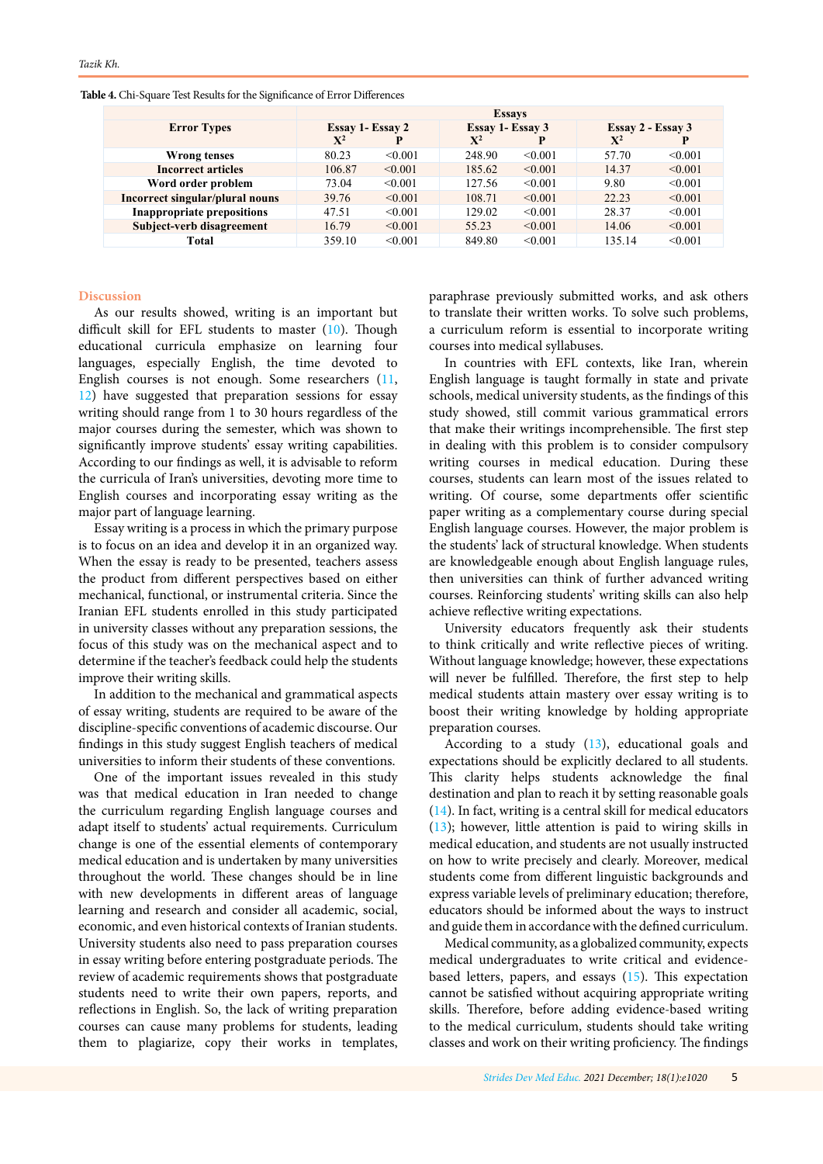|                                   | <b>Essays</b>    |         |                  |              |                   |         |
|-----------------------------------|------------------|---------|------------------|--------------|-------------------|---------|
| <b>Error Types</b>                | Essay 1- Essay 2 |         | Essay 1- Essay 3 |              | Essay 2 - Essay 3 |         |
|                                   | $X^2$            | P       | $\mathbf{X}^2$   | D            | $\mathbf{X}^2$    | P       |
| Wrong tenses                      | 80.23            | < 0.001 | 248.90           | $\leq 0.001$ | 57.70             | < 0.001 |
| <b>Incorrect articles</b>         | 106.87           | < 0.001 | 185.62           | $\leq 0.001$ | 14.37             | < 0.001 |
| Word order problem                | 73.04            | < 0.001 | 127.56           | $\leq 0.001$ | 9.80              | < 0.001 |
| Incorrect singular/plural nouns   | 39.76            | < 0.001 | 108.71           | $\leq 0.001$ | 22.23             | < 0.001 |
| <b>Inappropriate prepositions</b> | 47.51            | < 0.001 | 129.02           | $\leq 0.001$ | 28.37             | < 0.001 |
| Subject-verb disagreement         | 16.79            | < 0.001 | 55.23            | $\leq 0.001$ | 14.06             | < 0.001 |
| Total                             | 359.10           | < 0.001 | 849.80           | < 0.001      | 135.14            | < 0.001 |

**Table 4.** Chi-Square Test Results for the Significance of Error Differences

# **Discussion**

As our results showed, writing is an important but difficult skill for EFL students to master ([10](#page-5-0)). Though educational curricula emphasize on learning four languages, especially English, the time devoted to English courses is not enough. Some researchers ([11](#page-5-0), [12](#page-5-0)) have suggested that preparation sessions for essay writing should range from 1 to 30 hours regardless of the major courses during the semester, which was shown to significantly improve students' essay writing capabilities. According to our findings as well, it is advisable to reform the curricula of Iran's universities, devoting more time to English courses and incorporating essay writing as the major part of language learning.

Essay writing is a process in which the primary purpose is to focus on an idea and develop it in an organized way. When the essay is ready to be presented, teachers assess the product from different perspectives based on either mechanical, functional, or instrumental criteria. Since the Iranian EFL students enrolled in this study participated in university classes without any preparation sessions, the focus of this study was on the mechanical aspect and to determine if the teacher's feedback could help the students improve their writing skills.

In addition to the mechanical and grammatical aspects of essay writing, students are required to be aware of the discipline-specific conventions of academic discourse. Our findings in this study suggest English teachers of medical universities to inform their students of these conventions.

One of the important issues revealed in this study was that medical education in Iran needed to change the curriculum regarding English language courses and adapt itself to students' actual requirements. Curriculum change is one of the essential elements of contemporary medical education and is undertaken by many universities throughout the world. These changes should be in line with new developments in different areas of language learning and research and consider all academic, social, economic, and even historical contexts of Iranian students. University students also need to pass preparation courses in essay writing before entering postgraduate periods. The review of academic requirements shows that postgraduate students need to write their own papers, reports, and reflections in English. So, the lack of writing preparation courses can cause many problems for students, leading them to plagiarize, copy their works in templates, paraphrase previously submitted works, and ask others to translate their written works. To solve such problems, a curriculum reform is essential to incorporate writing courses into medical syllabuses.

In countries with EFL contexts, like Iran, wherein English language is taught formally in state and private schools, medical university students, as the findings of this study showed, still commit various grammatical errors that make their writings incomprehensible. The first step in dealing with this problem is to consider compulsory writing courses in medical education. During these courses, students can learn most of the issues related to writing. Of course, some departments offer scientific paper writing as a complementary course during special English language courses. However, the major problem is the students' lack of structural knowledge. When students are knowledgeable enough about English language rules, then universities can think of further advanced writing courses. Reinforcing students' writing skills can also help achieve reflective writing expectations.

University educators frequently ask their students to think critically and write reflective pieces of writing. Without language knowledge; however, these expectations will never be fulfilled. Therefore, the first step to help medical students attain mastery over essay writing is to boost their writing knowledge by holding appropriate preparation courses.

According to a study  $(13)$  $(13)$  $(13)$ , educational goals and expectations should be explicitly declared to all students. This clarity helps students acknowledge the final destination and plan to reach it by setting reasonable goals ([14](#page-5-0)). In fact, writing is a central skill for medical educators ([13](#page-5-0)); however, little attention is paid to wiring skills in medical education, and students are not usually instructed on how to write precisely and clearly. Moreover, medical students come from different linguistic backgrounds and express variable levels of preliminary education; therefore, educators should be informed about the ways to instruct and guide them in accordance with the defined curriculum.

Medical community, as a globalized community, expects medical undergraduates to write critical and evidencebased letters, papers, and essays ([15](#page-5-0)). This expectation cannot be satisfied without acquiring appropriate writing skills. Therefore, before adding evidence-based writing to the medical curriculum, students should take writing classes and work on their writing proficiency. The findings